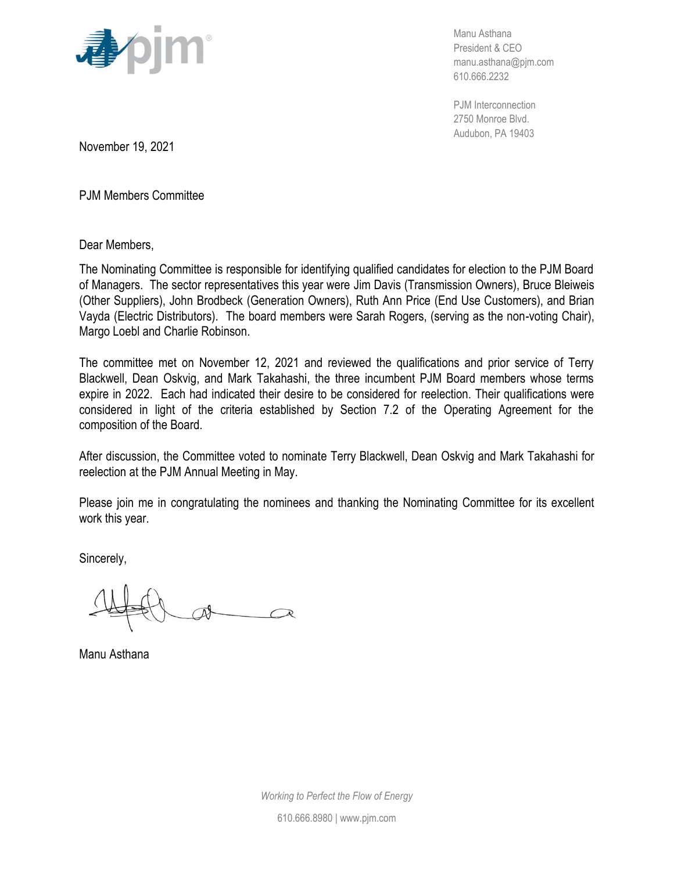

Manu Asthana President & CEO manu.asthana@pjm.com 610.666.2232

PJM Interconnection 2750 Monroe Blvd. Audubon, PA 19403

November 19, 2021

PJM Members Committee

Dear Members,

The Nominating Committee is responsible for identifying qualified candidates for election to the PJM Board of Managers. The sector representatives this year were Jim Davis (Transmission Owners), Bruce Bleiweis (Other Suppliers), John Brodbeck (Generation Owners), Ruth Ann Price (End Use Customers), and Brian Vayda (Electric Distributors). The board members were Sarah Rogers, (serving as the non-voting Chair), Margo Loebl and Charlie Robinson.

The committee met on November 12, 2021 and reviewed the qualifications and prior service of Terry Blackwell, Dean Oskvig, and Mark Takahashi, the three incumbent PJM Board members whose terms expire in 2022. Each had indicated their desire to be considered for reelection. Their qualifications were considered in light of the criteria established by Section 7.2 of the Operating Agreement for the composition of the Board.

After discussion, the Committee voted to nominate Terry Blackwell, Dean Oskvig and Mark Takahashi for reelection at the PJM Annual Meeting in May.

Please join me in congratulating the nominees and thanking the Nominating Committee for its excellent work this year.

Sincerely,

Manu Asthana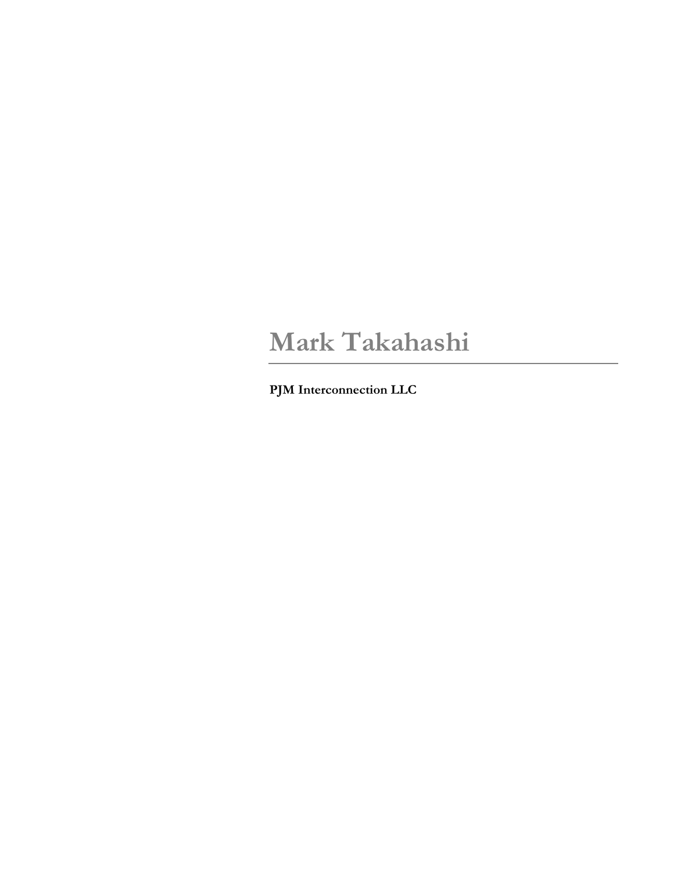# **Mark Takahashi**

**PJM Interconnection LLC**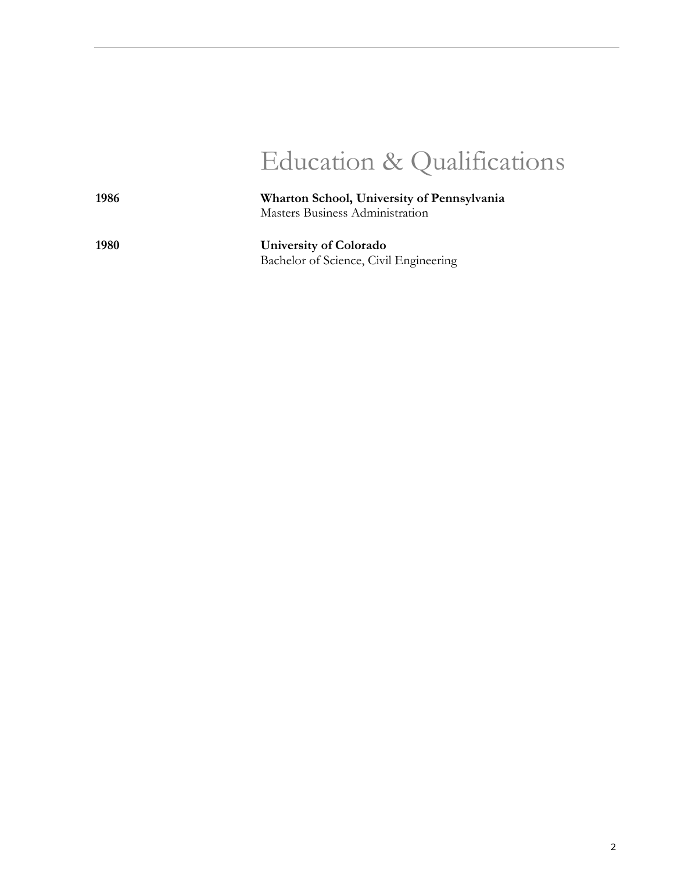# Education & Qualifications

**1986 Wharton School, University of Pennsylvania** Masters Business Administration

> **University of Colorado**  Bachelor of Science, Civil Engineering

**1980**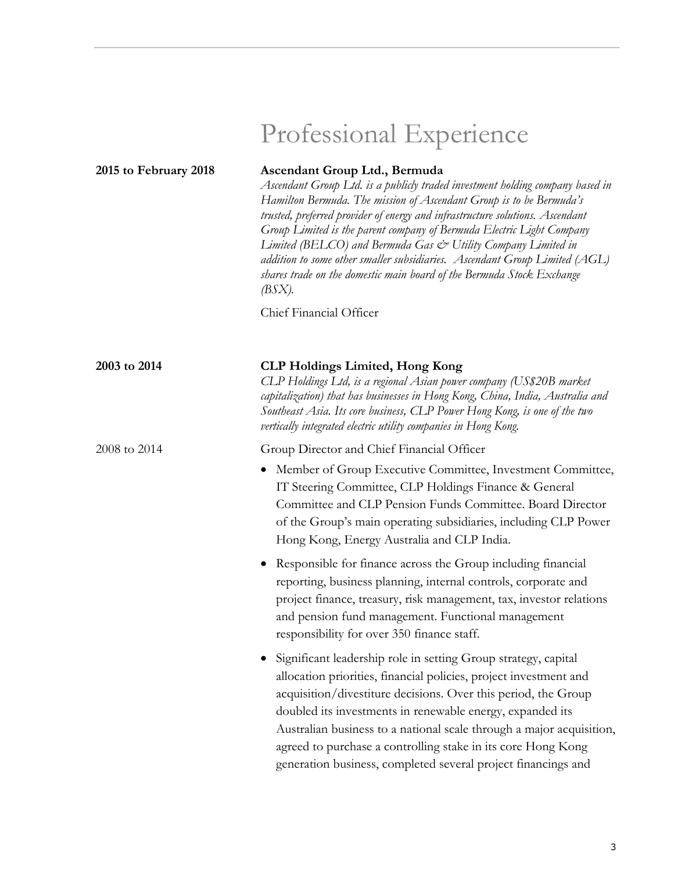| 2015 to February 2018 | Ascendant Group Ltd., Bermuda<br>Ascendant Group Ltd. is a publicly traded investment holding company based in<br>Hamilton Bermuda. The mission of Ascendant Group is to be Bermuda's<br>trusted, preferred provider of energy and infrastructure solutions. Ascendant<br>Group Limited is the parent company of Bermuda Electric Light Company<br>Limited (BELCO) and Bermuda Gas & Utility Company Limited in<br>addition to some other smaller subsidiaries. Ascendant Group Limited (AGL)<br>shares trade on the domestic main board of the Bermuda Stock Exchange<br>(BSX). |
|-----------------------|----------------------------------------------------------------------------------------------------------------------------------------------------------------------------------------------------------------------------------------------------------------------------------------------------------------------------------------------------------------------------------------------------------------------------------------------------------------------------------------------------------------------------------------------------------------------------------|
|                       | Chief Financial Officer                                                                                                                                                                                                                                                                                                                                                                                                                                                                                                                                                          |
| 2003 to 2014          | <b>CLP Holdings Limited, Hong Kong</b><br>CLP Holdings Ltd, is a regional Asian power company (US\$20B market<br>capitalization) that has businesses in Hong Kong, China, India, Australia and<br>Southeast Asia. Its core business, CLP Power Hong Kong, is one of the two<br>vertically integrated electric utility companies in Hong Kong.                                                                                                                                                                                                                                    |
| 2008 to 2014          | Group Director and Chief Financial Officer<br>Member of Group Executive Committee, Investment Committee,<br>$\bullet$<br>IT Steering Committee, CLP Holdings Finance & General<br>Committee and CLP Pension Funds Committee. Board Director<br>of the Group's main operating subsidiaries, including CLP Power<br>Hong Kong, Energy Australia and CLP India.                                                                                                                                                                                                                     |
|                       | • Responsible for finance across the Group including financial<br>reporting, business planning, internal controls, corporate and<br>project finance, treasury, risk management, tax, investor relations<br>and pension fund management. Functional management<br>responsibility for over 350 finance staff.                                                                                                                                                                                                                                                                      |
|                       | Significant leadership role in setting Group strategy, capital<br>allocation priorities, financial policies, project investment and<br>acquisition/divestiture decisions. Over this period, the Group<br>doubled its investments in renewable energy, expanded its<br>Australian business to a national scale through a major acquisition,<br>agreed to purchase a controlling stake in its core Hong Kong<br>generation business, completed several project financings and                                                                                                      |

# Professional Experience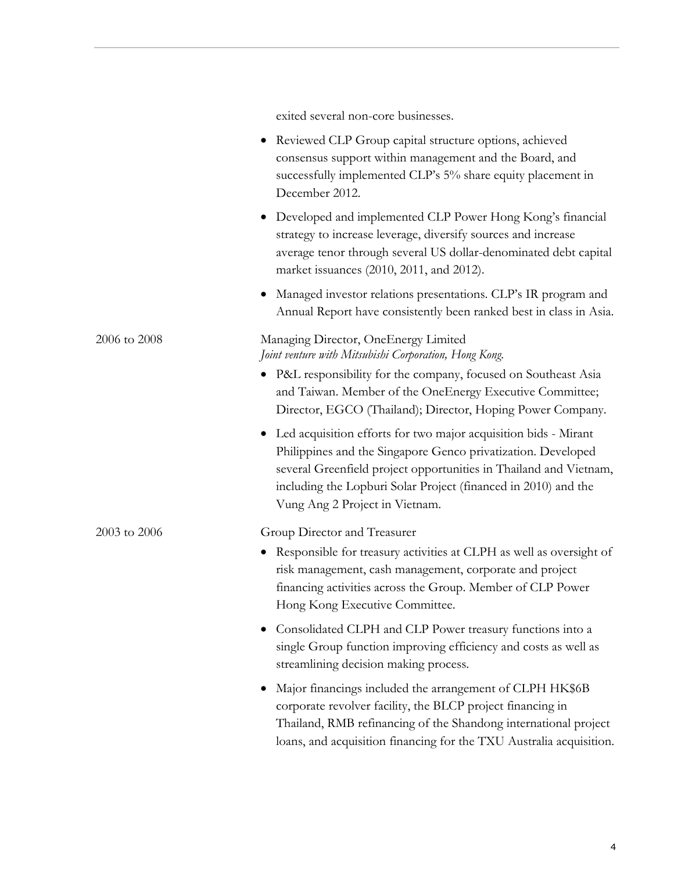|              | exited several non-core businesses.                                                                                                                                                                                                                                                                      |
|--------------|----------------------------------------------------------------------------------------------------------------------------------------------------------------------------------------------------------------------------------------------------------------------------------------------------------|
|              | Reviewed CLP Group capital structure options, achieved<br>$\bullet$<br>consensus support within management and the Board, and<br>successfully implemented CLP's 5% share equity placement in<br>December 2012.                                                                                           |
|              | • Developed and implemented CLP Power Hong Kong's financial<br>strategy to increase leverage, diversify sources and increase<br>average tenor through several US dollar-denominated debt capital<br>market issuances (2010, 2011, and 2012).                                                             |
|              | Managed investor relations presentations. CLP's IR program and<br>$\bullet$<br>Annual Report have consistently been ranked best in class in Asia.                                                                                                                                                        |
| 2006 to 2008 | Managing Director, OneEnergy Limited<br>Joint venture with Mitsubishi Corporation, Hong Kong.                                                                                                                                                                                                            |
|              | • P&L responsibility for the company, focused on Southeast Asia<br>and Taiwan. Member of the OneEnergy Executive Committee;<br>Director, EGCO (Thailand); Director, Hoping Power Company.                                                                                                                |
|              | Led acquisition efforts for two major acquisition bids - Mirant<br>Philippines and the Singapore Genco privatization. Developed<br>several Greenfield project opportunities in Thailand and Vietnam,<br>including the Lopburi Solar Project (financed in 2010) and the<br>Vung Ang 2 Project in Vietnam. |
| 2003 to 2006 | Group Director and Treasurer<br>Responsible for treasury activities at CLPH as well as oversight of<br>$\bullet$<br>risk management, cash management, corporate and project<br>financing activities across the Group. Member of CLP Power<br>Hong Kong Executive Committee.                              |
|              | Consolidated CLPH and CLP Power treasury functions into a<br>single Group function improving efficiency and costs as well as<br>streamlining decision making process.                                                                                                                                    |
|              | Major financings included the arrangement of CLPH HK\$6B<br>corporate revolver facility, the BLCP project financing in<br>Thailand, RMB refinancing of the Shandong international project<br>loans, and acquisition financing for the TXU Australia acquisition.                                         |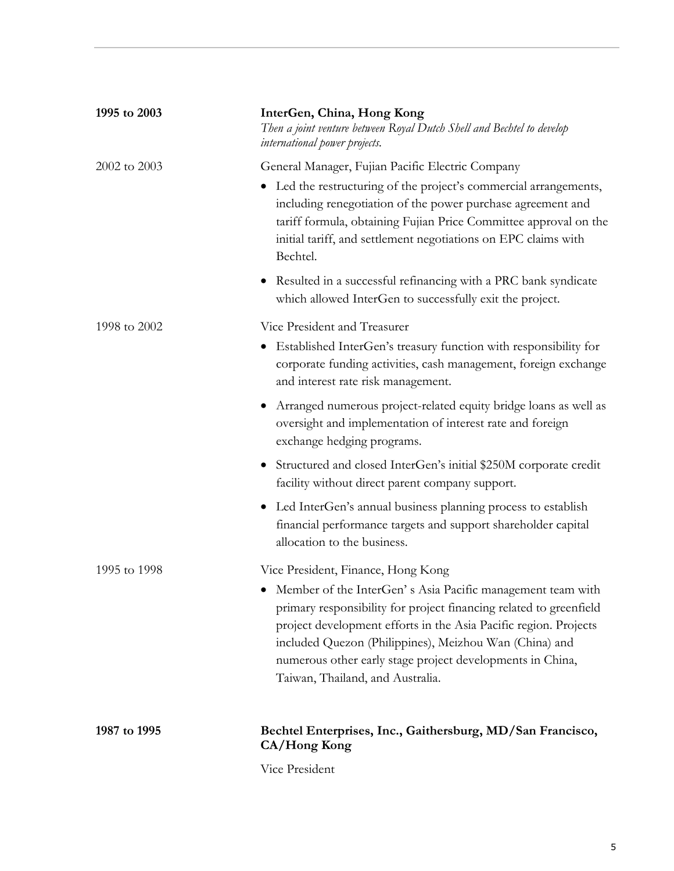| 1995 to 2003 | InterGen, China, Hong Kong<br>Then a joint venture between Royal Dutch Shell and Bechtel to develop<br>international power projects.                                                                                                                                                                                                                              |
|--------------|-------------------------------------------------------------------------------------------------------------------------------------------------------------------------------------------------------------------------------------------------------------------------------------------------------------------------------------------------------------------|
| 2002 to 2003 | General Manager, Fujian Pacific Electric Company                                                                                                                                                                                                                                                                                                                  |
|              | • Led the restructuring of the project's commercial arrangements,<br>including renegotiation of the power purchase agreement and<br>tariff formula, obtaining Fujian Price Committee approval on the<br>initial tariff, and settlement negotiations on EPC claims with<br>Bechtel.                                                                                |
|              | Resulted in a successful refinancing with a PRC bank syndicate<br>$\bullet$<br>which allowed InterGen to successfully exit the project.                                                                                                                                                                                                                           |
| 1998 to 2002 | Vice President and Treasurer                                                                                                                                                                                                                                                                                                                                      |
|              | Established InterGen's treasury function with responsibility for<br>$\bullet$<br>corporate funding activities, cash management, foreign exchange<br>and interest rate risk management.                                                                                                                                                                            |
|              | Arranged numerous project-related equity bridge loans as well as<br>$\bullet$<br>oversight and implementation of interest rate and foreign<br>exchange hedging programs.                                                                                                                                                                                          |
|              | Structured and closed InterGen's initial \$250M corporate credit<br>$\bullet$<br>facility without direct parent company support.                                                                                                                                                                                                                                  |
|              | • Led InterGen's annual business planning process to establish<br>financial performance targets and support shareholder capital<br>allocation to the business.                                                                                                                                                                                                    |
| 1995 to 1998 | Vice President, Finance, Hong Kong                                                                                                                                                                                                                                                                                                                                |
|              | • Member of the InterGen's Asia Pacific management team with<br>primary responsibility for project financing related to greenfield<br>project development efforts in the Asia Pacific region. Projects<br>included Quezon (Philippines), Meizhou Wan (China) and<br>numerous other early stage project developments in China,<br>Taiwan, Thailand, and Australia. |
| 1987 to 1995 | Bechtel Enterprises, Inc., Gaithersburg, MD/San Francisco,<br>CA/Hong Kong                                                                                                                                                                                                                                                                                        |
|              |                                                                                                                                                                                                                                                                                                                                                                   |

Vice President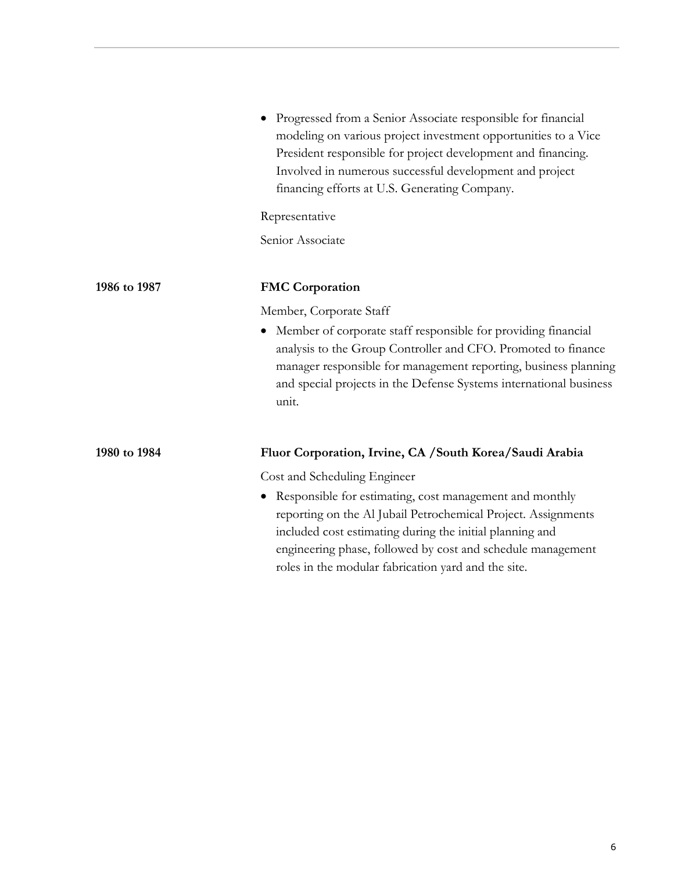|              | • Progressed from a Senior Associate responsible for financial<br>modeling on various project investment opportunities to a Vice<br>President responsible for project development and financing.<br>Involved in numerous successful development and project<br>financing efforts at U.S. Generating Company. |
|--------------|--------------------------------------------------------------------------------------------------------------------------------------------------------------------------------------------------------------------------------------------------------------------------------------------------------------|
|              | Representative                                                                                                                                                                                                                                                                                               |
|              | Senior Associate                                                                                                                                                                                                                                                                                             |
| 1986 to 1987 | <b>FMC Corporation</b>                                                                                                                                                                                                                                                                                       |
|              | Member, Corporate Staff                                                                                                                                                                                                                                                                                      |
|              | Member of corporate staff responsible for providing financial<br>analysis to the Group Controller and CFO. Promoted to finance<br>manager responsible for management reporting, business planning<br>and special projects in the Defense Systems international business<br>unit.                             |
| 1980 to 1984 | Fluor Corporation, Irvine, CA / South Korea/Saudi Arabia                                                                                                                                                                                                                                                     |
|              | Cost and Scheduling Engineer                                                                                                                                                                                                                                                                                 |
|              | • Responsible for estimating, cost management and monthly                                                                                                                                                                                                                                                    |

reporting on the Al Jubail Petrochemical Project. Assignments

engineering phase, followed by cost and schedule management

included cost estimating during the initial planning and

roles in the modular fabrication yard and the site.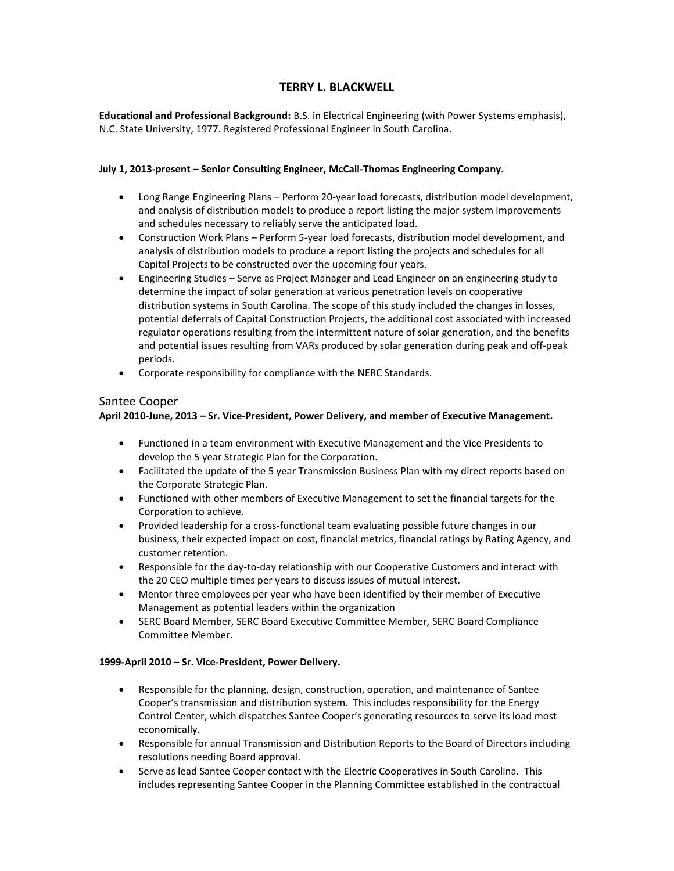### **TERRY L. BLACKWELL**

**Educational and Professional Background:** B.S. in Electrical Engineering (with Power Systems emphasis), N.C. State University, 1977. Registered Professional Engineer in South Carolina.

#### **July 1, 2013-present – Senior Consulting Engineer, McCall-Thomas Engineering Company.**

- Long Range Engineering Plans Perform 20-year load forecasts, distribution model development, and analysis of distribution models to produce a report listing the major system improvements and schedules necessary to reliably serve the anticipated load.
- Construction Work Plans Perform 5-year load forecasts, distribution model development, and analysis of distribution models to produce a report listing the projects and schedules for all Capital Projects to be constructed over the upcoming four years.
- Engineering Studies Serve as Project Manager and Lead Engineer on an engineering study to determine the impact of solar generation at various penetration levels on cooperative distribution systems in South Carolina. The scope of this study included the changes in losses, potential deferrals of Capital Construction Projects, the additional cost associated with increased regulator operations resulting from the intermittent nature of solar generation, and the benefits and potential issues resulting from VARs produced by solar generation during peak and off-peak periods.
- Corporate responsibility for compliance with the NERC Standards.

### Santee Cooper

### **April 2010-June, 2013 – Sr. Vice-President, Power Delivery, and member of Executive Management.**

- Functioned in a team environment with Executive Management and the Vice Presidents to develop the 5 year Strategic Plan for the Corporation.
- Facilitated the update of the 5 year Transmission Business Plan with my direct reports based on the Corporate Strategic Plan.
- Functioned with other members of Executive Management to set the financial targets for the Corporation to achieve.
- Provided leadership for a cross-functional team evaluating possible future changes in our business, their expected impact on cost, financial metrics, financial ratings by Rating Agency, and customer retention.
- Responsible for the day-to-day relationship with our Cooperative Customers and interact with the 20 CEO multiple times per years to discuss issues of mutual interest.
- Mentor three employees per year who have been identified by their member of Executive Management as potential leaders within the organization
- SERC Board Member, SERC Board Executive Committee Member, SERC Board Compliance Committee Member.

#### **1999-April 2010 – Sr. Vice-President, Power Delivery.**

- Responsible for the planning, design, construction, operation, and maintenance of Santee Cooper's transmission and distribution system. This includes responsibility for the Energy Control Center, which dispatches Santee Cooper's generating resources to serve its load most economically.
- Responsible for annual Transmission and Distribution Reports to the Board of Directors including resolutions needing Board approval.
- Serve as lead Santee Cooper contact with the Electric Cooperatives in South Carolina. This includes representing Santee Cooper in the Planning Committee established in the contractual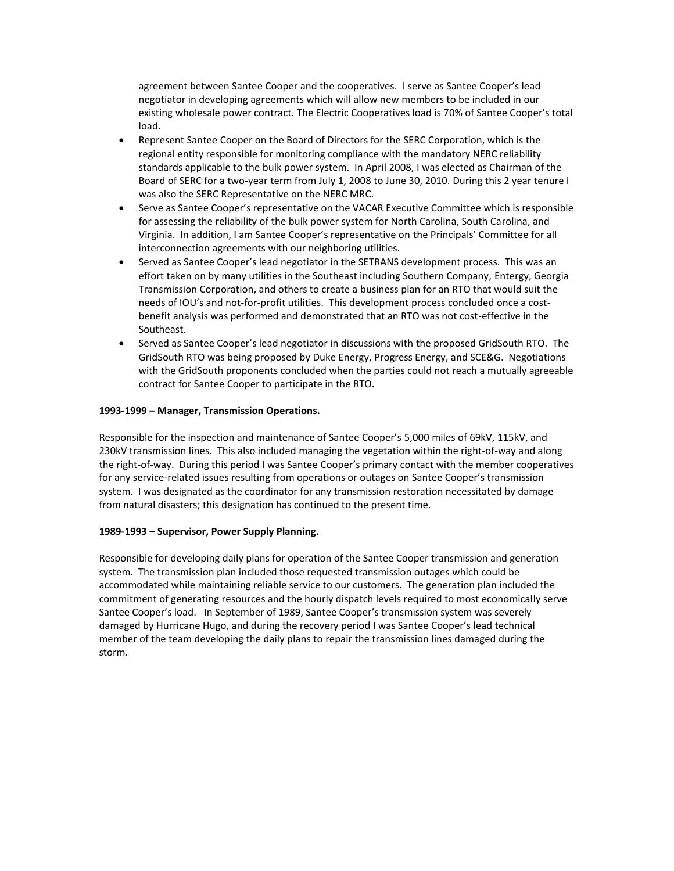agreement between Santee Cooper and the cooperatives. I serve as Santee Cooper's lead negotiator in developing agreements which will allow new members to be included in our existing wholesale power contract. The Electric Cooperatives load is 70% of Santee Cooper's total load.

- Represent Santee Cooper on the Board of Directors for the SERC Corporation, which is the regional entity responsible for monitoring compliance with the mandatory NERC reliability standards applicable to the bulk power system. In April 2008, I was elected as Chairman of the Board of SERC for a two-year term from July 1, 2008 to June 30, 2010. During this 2 year tenure I was also the SERC Representative on the NERC MRC.
- Serve as Santee Cooper's representative on the VACAR Executive Committee which is responsible for assessing the reliability of the bulk power system for North Carolina, South Carolina, and Virginia. In addition, I am Santee Cooper's representative on the Principals' Committee for all interconnection agreements with our neighboring utilities.
- Served as Santee Cooper's lead negotiator in the SETRANS development process. This was an effort taken on by many utilities in the Southeast including Southern Company, Entergy, Georgia Transmission Corporation, and others to create a business plan for an RTO that would suit the needs of IOU's and not-for-profit utilities. This development process concluded once a costbenefit analysis was performed and demonstrated that an RTO was not cost-effective in the Southeast.
- Served as Santee Cooper's lead negotiator in discussions with the proposed GridSouth RTO. The GridSouth RTO was being proposed by Duke Energy, Progress Energy, and SCE&G. Negotiations with the GridSouth proponents concluded when the parties could not reach a mutually agreeable contract for Santee Cooper to participate in the RTO.

#### **1993-1999 – Manager, Transmission Operations.**

Responsible for the inspection and maintenance of Santee Cooper's 5,000 miles of 69kV, 115kV, and 230kV transmission lines. This also included managing the vegetation within the right-of-way and along the right-of-way. During this period I was Santee Cooper's primary contact with the member cooperatives for any service-related issues resulting from operations or outages on Santee Cooper's transmission system. I was designated as the coordinator for any transmission restoration necessitated by damage from natural disasters; this designation has continued to the present time.

#### **1989-1993 – Supervisor, Power Supply Planning.**

Responsible for developing daily plans for operation of the Santee Cooper transmission and generation system. The transmission plan included those requested transmission outages which could be accommodated while maintaining reliable service to our customers. The generation plan included the commitment of generating resources and the hourly dispatch levels required to most economically serve Santee Cooper's load. In September of 1989, Santee Cooper's transmission system was severely damaged by Hurricane Hugo, and during the recovery period I was Santee Cooper's lead technical member of the team developing the daily plans to repair the transmission lines damaged during the storm.